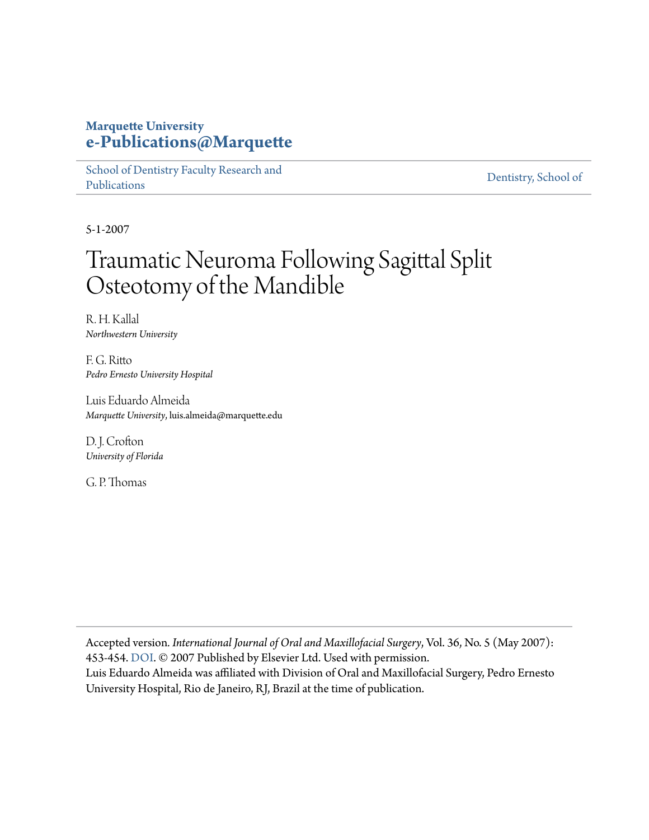#### **Marquette University [e-Publications@Marquette](https://epublications.marquette.edu)**

[School of Dentistry Faculty Research and](https://epublications.marquette.edu/dentistry_fac) [Publications](https://epublications.marquette.edu/dentistry_fac)

[Dentistry, School of](https://epublications.marquette.edu/dentistry)

5-1-2007

## Traumatic Neuroma Following Sagittal Split Osteotomy of the Mandible

R. H. Kallal *Northwestern University*

F. G. Ritto *Pedro Ernesto University Hospital*

Luis Eduardo Almeida *Marquette University*, luis.almeida@marquette.edu

D. J. Crofton *University of Florida*

G. P. Thomas

Accepted version*. International Journal of Oral and Maxillofacial Surgery*, Vol. 36, No. 5 (May 2007): 453-454. [DOI.](https://doi.org/10.1016/j.ijom.2006.10.017) © 2007 Published by Elsevier Ltd. Used with permission. Luis Eduardo Almeida was affiliated with Division of Oral and Maxillofacial Surgery, Pedro Ernesto University Hospital, Rio de Janeiro, RJ, Brazil at the time of publication.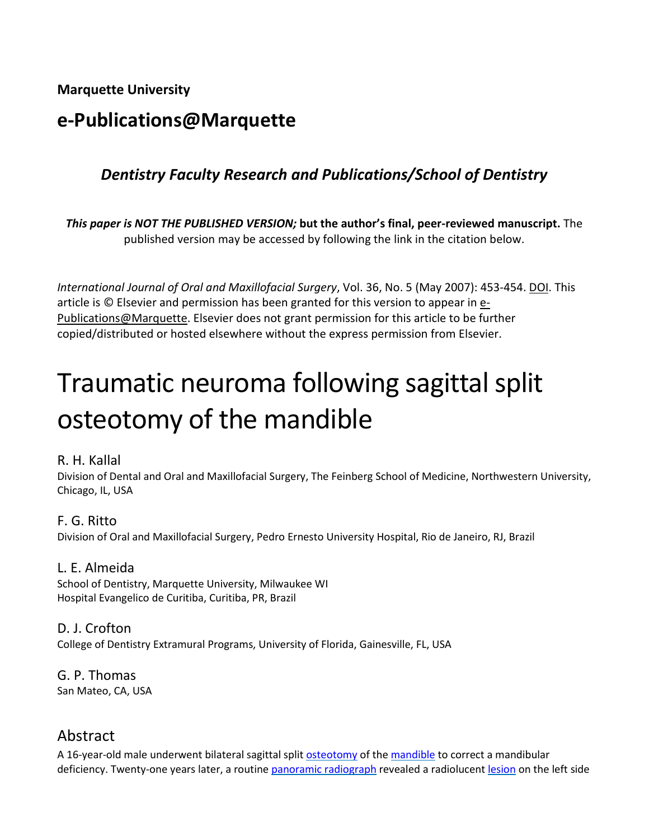**Marquette University**

## **e-Publications@Marquette**

## *Dentistry Faculty Research and Publications/School of Dentistry*

*This paper is NOT THE PUBLISHED VERSION;* **but the author's final, peer-reviewed manuscript.** The published version may be accessed by following the link in the citation below.

*International Journal of Oral and Maxillofacial Surgery*, Vol. 36, No. 5 (May 2007): 453-454. DOI. This article is  $\odot$  Elsevier and permission has been granted for this version to appear in  $e$ -[Publications@Marquette.](http://epublications.marquette.edu/) Elsevier does not grant permission for this article to be further copied/distributed or hosted elsewhere without the express permission from Elsevier.

# Traumatic neuroma following sagittal split osteotomy of the mandible

#### R. H. Kallal

Division of Dental and Oral and Maxillofacial Surgery, The Feinberg School of Medicine, Northwestern University, Chicago, IL, USA

#### F. G. Ritto

Division of Oral and Maxillofacial Surgery, Pedro Ernesto University Hospital, Rio de Janeiro, RJ, Brazil

#### L. E. Almeida

School of Dentistry, Marquette University, Milwaukee WI Hospital Evangelico de Curitiba, Curitiba, PR, Brazil

#### D. J. Crofton

College of Dentistry Extramural Programs, University of Florida, Gainesville, FL, USA

G. P. Thomas San Mateo, CA, USA

#### Abstract

A 16-year-old male underwent bilateral sagittal split [osteotomy](https://www.sciencedirect.com/topics/medicine-and-dentistry/osteotomy) of the [mandible](https://www.sciencedirect.com/topics/medicine-and-dentistry/mandible) to correct a mandibular deficiency. Twenty-one years later, a routine [panoramic radiograph](https://www.sciencedirect.com/topics/medicine-and-dentistry/panoramic-radiograph) revealed a radiolucent [lesion](https://www.sciencedirect.com/topics/medicine-and-dentistry/lesion) on the left side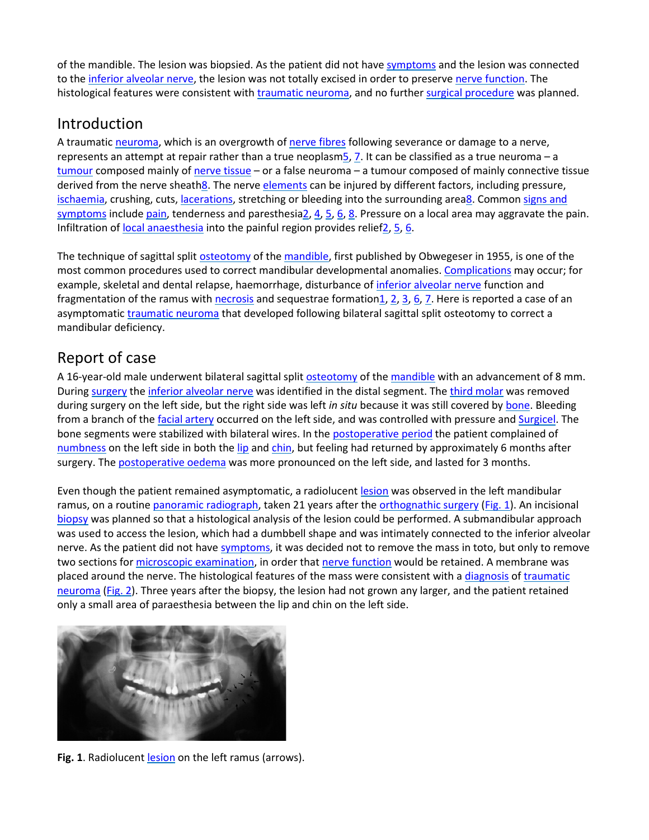of the mandible. The lesion was biopsied. As the patient did not have [symptoms](https://www.sciencedirect.com/topics/medicine-and-dentistry/symptom) and the lesion was connected to the [inferior alveolar nerve,](https://www.sciencedirect.com/topics/medicine-and-dentistry/inferior-alveolar-nerve) the lesion was not totally excised in order to preserve [nerve function.](https://www.sciencedirect.com/topics/medicine-and-dentistry/nerve-function) The histological features were consistent wit[h traumatic neuroma,](https://www.sciencedirect.com/topics/medicine-and-dentistry/traumatic-neuroma) and no further [surgical procedure](https://www.sciencedirect.com/topics/medicine-and-dentistry/surgical-technique) was planned.

## Introduction

A traumatic [neuroma,](https://www.sciencedirect.com/topics/medicine-and-dentistry/neuroma) which is an overgrowth of [nerve fibres](https://www.sciencedirect.com/topics/medicine-and-dentistry/nerve-fiber) following severance or damage to a nerve, represents an attempt at repair rather than a true neoplasm 5, [7.](https://www.sciencedirect.com/science/article/pii/S0901502706004802?via%3Dihub#bib7) It can be classified as a true neuroma - a [tumour](https://www.sciencedirect.com/topics/medicine-and-dentistry/neoplasm) composed mainly of [nerve tissue](https://www.sciencedirect.com/topics/medicine-and-dentistry/nerve-tissue) – or a false neuroma – a tumour composed of mainly connective tissue derived from the nerve sheat[h8.](https://www.sciencedirect.com/science/article/pii/S0901502706004802?via%3Dihub#bib8) The nerve [elements](https://www.sciencedirect.com/topics/medicine-and-dentistry/element) can be injured by different factors, including pressure, [ischaemia,](https://www.sciencedirect.com/topics/medicine-and-dentistry/ischemia) crushing, cuts[, lacerations,](https://www.sciencedirect.com/topics/medicine-and-dentistry/laceration) stretching or bleeding into the surrounding are[a8.](https://www.sciencedirect.com/science/article/pii/S0901502706004802?via%3Dihub#bib8) Common signs and [symptoms](https://www.sciencedirect.com/topics/medicine-and-dentistry/physical-disease-by-body-function) include [pain,](https://www.sciencedirect.com/topics/medicine-and-dentistry/pain) tenderness and paresthesi[a2,](https://www.sciencedirect.com/science/article/pii/S0901502706004802?via%3Dihub#bib2) [4,](https://www.sciencedirect.com/science/article/pii/S0901502706004802?via%3Dihub#bib4) [5,](https://www.sciencedirect.com/science/article/pii/S0901502706004802?via%3Dihub#bib5) [6,](https://www.sciencedirect.com/science/article/pii/S0901502706004802?via%3Dihub#bib6) [8.](https://www.sciencedirect.com/science/article/pii/S0901502706004802?via%3Dihub#bib8) Pressure on a local area may aggravate the pain. Infiltration o[f local anaesthesia](https://www.sciencedirect.com/topics/medicine-and-dentistry/local-anesthesia) into the painful region provides relie[f2,](https://www.sciencedirect.com/science/article/pii/S0901502706004802?via%3Dihub#bib2) [5,](https://www.sciencedirect.com/science/article/pii/S0901502706004802?via%3Dihub#bib5) [6.](https://www.sciencedirect.com/science/article/pii/S0901502706004802?via%3Dihub#bib6)

The technique of sagittal split [osteotomy](https://www.sciencedirect.com/topics/medicine-and-dentistry/osteotomy) of the [mandible,](https://www.sciencedirect.com/topics/medicine-and-dentistry/mandible) first published by Obwegeser in 1955, is one of the most common procedures used to correct mandibular developmental anomalies. [Complications](https://www.sciencedirect.com/topics/medicine-and-dentistry/complication) may occur; for example, skeletal and dental relapse, haemorrhage, disturbance of [inferior alveolar nerve](https://www.sciencedirect.com/topics/medicine-and-dentistry/inferior-alveolar-nerve) function and fragmentation of the ramus with [necrosis](https://www.sciencedirect.com/topics/medicine-and-dentistry/necrosis) and sequestrae formation 1, [2,](https://www.sciencedirect.com/science/article/pii/S0901502706004802?via%3Dihub#bib2) [3,](https://www.sciencedirect.com/science/article/pii/S0901502706004802?via%3Dihub#bib3) [6,](https://www.sciencedirect.com/science/article/pii/S0901502706004802?via%3Dihub#bib6) [7.](https://www.sciencedirect.com/science/article/pii/S0901502706004802?via%3Dihub#bib7) Here is reported a case of an asymptomatic [traumatic neuroma](https://www.sciencedirect.com/topics/medicine-and-dentistry/traumatic-neuroma) that developed following bilateral sagittal split osteotomy to correct a mandibular deficiency.

## Report of case

A 16-year-old male underwent bilateral sagittal split [osteotomy](https://www.sciencedirect.com/topics/medicine-and-dentistry/osteotomy) of the [mandible](https://www.sciencedirect.com/topics/medicine-and-dentistry/mandible) with an advancement of 8 mm. During [surgery](https://www.sciencedirect.com/topics/medicine-and-dentistry/surgery) th[e inferior alveolar nerve](https://www.sciencedirect.com/topics/medicine-and-dentistry/inferior-alveolar-nerve) was identified in the distal segment. Th[e third molar](https://www.sciencedirect.com/topics/medicine-and-dentistry/third-molar) was removed during surgery on the left side, but the right side was left *in situ* because it was still covered by [bone.](https://www.sciencedirect.com/topics/medicine-and-dentistry/bone) Bleeding from a branch of th[e facial artery](https://www.sciencedirect.com/topics/medicine-and-dentistry/facial-artery) occurred on the left side, and was controlled with pressure and [Surgicel.](https://www.sciencedirect.com/topics/medicine-and-dentistry/surgicel) The bone segments were stabilized with bilateral wires. In the [postoperative period](https://www.sciencedirect.com/topics/medicine-and-dentistry/postoperative-period) the patient complained of [numbness](https://www.sciencedirect.com/topics/medicine-and-dentistry/paresthesia) on the left side in both the [lip](https://www.sciencedirect.com/topics/medicine-and-dentistry/lip) an[d chin,](https://www.sciencedirect.com/topics/medicine-and-dentistry/chin) but feeling had returned by approximately 6 months after surgery. Th[e postoperative oedema](https://www.sciencedirect.com/topics/medicine-and-dentistry/postoperative-edema) was more pronounced on the left side, and lasted for 3 months.

Even though the patient remained asymptomatic, a radiolucent [lesion](https://www.sciencedirect.com/topics/medicine-and-dentistry/lesion) was observed in the left mandibular ramus, on a routin[e panoramic radiograph,](https://www.sciencedirect.com/topics/medicine-and-dentistry/panoramic-radiograph) taken 21 years after the [orthognathic surgery](https://www.sciencedirect.com/topics/medicine-and-dentistry/orthognathic-surgery) [\(Fig. 1\)](https://www.sciencedirect.com/science/article/pii/S0901502706004802?via%3Dihub#fig1). An incisional [biopsy](https://www.sciencedirect.com/topics/medicine-and-dentistry/biopsy) was planned so that a histological analysis of the lesion could be performed. A submandibular approach was used to access the lesion, which had a dumbbell shape and was intimately connected to the inferior alveolar nerve. As the patient did not hav[e symptoms,](https://www.sciencedirect.com/topics/medicine-and-dentistry/symptom) it was decided not to remove the mass in toto, but only to remove two sections fo[r microscopic examination,](https://www.sciencedirect.com/topics/medicine-and-dentistry/microscopy) in order that [nerve function](https://www.sciencedirect.com/topics/medicine-and-dentistry/nerve-function) would be retained. A membrane was placed around the nerve. The histological features of the mass were consistent with [a diagnosis](https://www.sciencedirect.com/topics/medicine-and-dentistry/diagnosis) of traumatic [neuroma](https://www.sciencedirect.com/topics/medicine-and-dentistry/traumatic-neuroma) [\(Fig. 2\)](https://www.sciencedirect.com/science/article/pii/S0901502706004802?via%3Dihub#fig2). Three years after the biopsy, the lesion had not grown any larger, and the patient retained only a small area of paraesthesia between the lip and chin on the left side.



Fig. 1. Radiolucent [lesion](https://www.sciencedirect.com/topics/medicine-and-dentistry/lesion) on the left ramus (arrows).